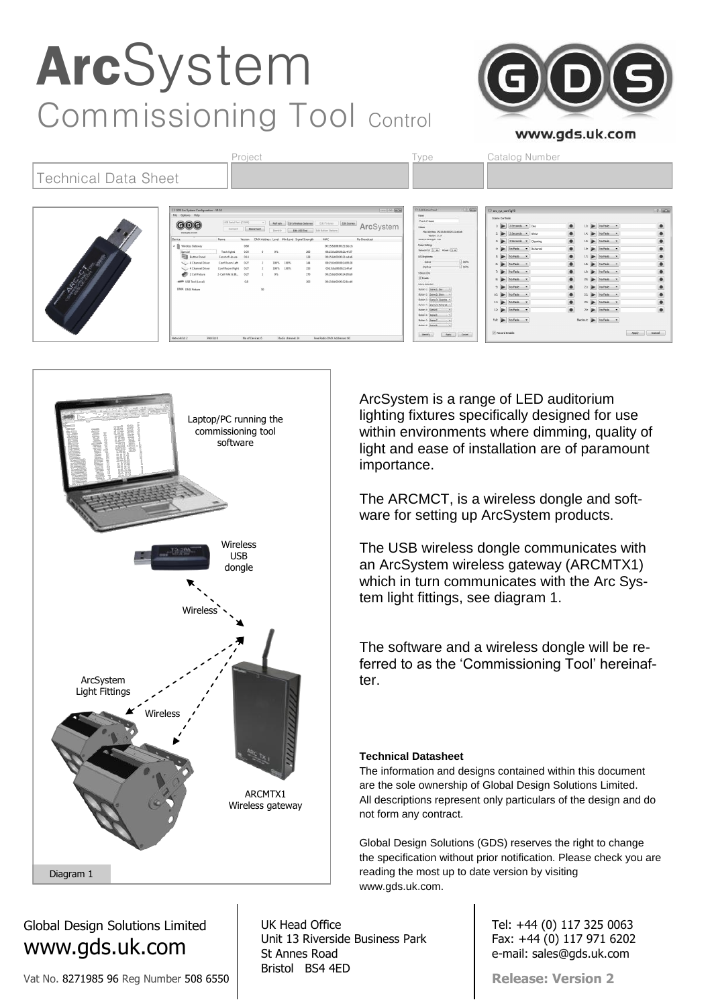## ArcSystem Commissioning Tool Control www.gds.uk.com Project **Type** Catalog Number

#### Technical Data Sheet **GOG** ArcSystem No Fade +  $5: 10.6$  Mo Fade  $\rightarrow$  $\frac{1}{2}$  some  $12: 12$  No Fade  $\bullet$ 24: No Fade v  $r_{\text{ub}}$   $\boxed{\blacktriangleright}$  No Fede  $\rightarrow$

Laptop/PC running the commissioning tool software **Wireless Wireless** USB dongle ArcSystem is a range of LED auditorium lighting fixtures specifically designed for use within environments where dimming, quality of light and ease of installation are of paramount importance. The ARCMCT, is a wireless dongle and software for setting up ArcSystem products. The USB wireless dongle communicates with an ArcSystem wireless gateway (ARCMTX1) which in turn communicates with the Arc System light fittings, see diagram 1. The software and a wireless dongle will be referred to as the 'Commissioning Tool' hereinafter.

#### **Technical Datasheet**

The information and designs contained within this document are the sole ownership of Global Design Solutions Limited. All descriptions represent only particulars of the design and do not form any contract.

Global Design Solutions (GDS) reserves the right to change the specification without prior notification. Please check you are reading the most up to date version by visiting www.gds.uk.com.

> Tel: +44 (0) 117 325 0063 Fax: +44 (0) 117 971 6202 e-mail: sales@gds.uk.com

**Release: Version 2**

Global Design Solutions Limited www.gds.uk.com

Vat No. 8271985 96 Reg Number 508 6550

UK Head Office Unit 13 Riverside Business Park St Annes Road Bristol BS4 4ED

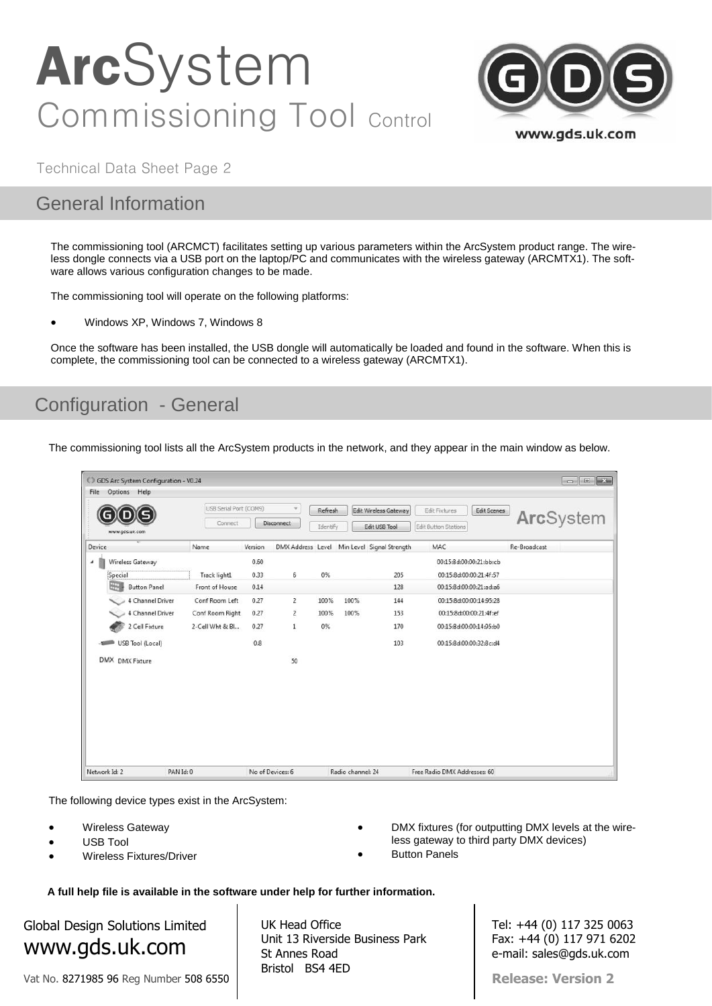

Technical Data Sheet Page 2

### General Information

The commissioning tool (ARCMCT) facilitates setting up various parameters within the ArcSystem product range. The wireless dongle connects via a USB port on the laptop/PC and communicates with the wireless gateway (ARCMTX1). The software allows various configuration changes to be made.

The commissioning tool will operate on the following platforms:

Windows XP, Windows 7, Windows 8

Once the software has been installed, the USB dongle will automatically be loaded and found in the software. When this is complete, the commissioning tool can be connected to a wireless gateway (ARCMTX1).

### Configuration - General

The commissioning tool lists all the ArcSystem products in the network, and they appear in the main window as below.

|               | CD GDS Arc System Configuration - V0.24 |                                   |         |                               |                     |                   |                                             |                                                                    | $\begin{array}{c c c c c c} \hline \multicolumn{3}{c }{\mathbf{C}} & \multicolumn{3}{c }{\mathbf{S}} & \multicolumn{3}{c }{\mathbf{S}} & \multicolumn{3}{c }{\mathbf{S}} & \multicolumn{3}{c }{\mathbf{S}} & \multicolumn{3}{c }{\mathbf{S}} & \multicolumn{3}{c }{\mathbf{S}} & \multicolumn{3}{c }{\mathbf{S}} & \multicolumn{3}{c }{\mathbf{S}} & \multicolumn{3}{c }{\mathbf{S}} & \multicolumn{3}{c }{\mathbf{S}} & \multicolumn{3}{c }{\mathbf$ |
|---------------|-----------------------------------------|-----------------------------------|---------|-------------------------------|---------------------|-------------------|---------------------------------------------|--------------------------------------------------------------------|-------------------------------------------------------------------------------------------------------------------------------------------------------------------------------------------------------------------------------------------------------------------------------------------------------------------------------------------------------------------------------------------------------------------------------------------------------|
| File          | Options Help<br>www.gds.uk.com          | USB Serial Port (COM9)<br>Connect |         | $\omega$<br><b>Disconnect</b> | Refresh<br>Identify |                   | Edit Wireless Gateway<br>Edit USB Tool      | Edit Fixtures<br><b>Edit Scenes</b><br><b>Edit Button Stations</b> | ArcSystem                                                                                                                                                                                                                                                                                                                                                                                                                                             |
| Device        |                                         | Name                              | Version |                               |                     |                   | DMX Address Level Min Level Signal Strength | MAC                                                                | Re-Broadcast                                                                                                                                                                                                                                                                                                                                                                                                                                          |
| ٠             | Wireless Gateway                        |                                   | 0.60    |                               |                     |                   |                                             | 00:15:8d:00:00:21:bb:cb                                            |                                                                                                                                                                                                                                                                                                                                                                                                                                                       |
|               | Special                                 | Track light1                      | 0.33    | 6                             | 0%                  |                   | 205                                         | 00:15:8d:00:00:21:4f:57                                            |                                                                                                                                                                                                                                                                                                                                                                                                                                                       |
|               | <b>Button Panel</b>                     | Front of House                    | 0.14    |                               |                     |                   | 128                                         | 00:15:8d:00:00:21:ad:a6                                            |                                                                                                                                                                                                                                                                                                                                                                                                                                                       |
|               | 4 Channel Driver                        | Conf Room Left                    | 0.27    | $\overline{2}$                | 100%                | 100%              | 144                                         | 00:15:8d:00:00:14:95:28                                            |                                                                                                                                                                                                                                                                                                                                                                                                                                                       |
|               | 4 Channel Driver                        | Conf Room Right                   | 0.27    | $\overline{2}$                | 100%                | 100%              | 153                                         | 00:15:8d:00:00:21:4f:ef                                            |                                                                                                                                                                                                                                                                                                                                                                                                                                                       |
|               | 2 Cell Fixture                          | 2-Cell Wht & Bl                   | 0.27    | $\mathbf{1}$                  | 0%                  |                   | 170                                         | 00:15:8d:00:00:14:95:b0                                            |                                                                                                                                                                                                                                                                                                                                                                                                                                                       |
|               | USB Tool (Local)                        |                                   | 0.8     |                               |                     |                   | 103                                         | 00:15:8d:00:00:32:8c:d4                                            |                                                                                                                                                                                                                                                                                                                                                                                                                                                       |
|               | DMX DMX Fixture                         |                                   |         | 50                            |                     |                   |                                             |                                                                    |                                                                                                                                                                                                                                                                                                                                                                                                                                                       |
|               |                                         |                                   |         |                               |                     |                   |                                             |                                                                    |                                                                                                                                                                                                                                                                                                                                                                                                                                                       |
|               |                                         |                                   |         |                               |                     |                   |                                             |                                                                    |                                                                                                                                                                                                                                                                                                                                                                                                                                                       |
|               |                                         |                                   |         |                               |                     |                   |                                             |                                                                    |                                                                                                                                                                                                                                                                                                                                                                                                                                                       |
|               |                                         |                                   |         |                               |                     |                   |                                             |                                                                    |                                                                                                                                                                                                                                                                                                                                                                                                                                                       |
|               |                                         |                                   |         |                               |                     |                   |                                             |                                                                    |                                                                                                                                                                                                                                                                                                                                                                                                                                                       |
|               |                                         |                                   |         |                               |                     |                   |                                             |                                                                    |                                                                                                                                                                                                                                                                                                                                                                                                                                                       |
| Network Id: 2 |                                         | PAN Id: 0                         |         | No of Devices: 6              |                     | Radio channel: 24 |                                             | Free Radio DMX Addresses: 60                                       |                                                                                                                                                                                                                                                                                                                                                                                                                                                       |

The following device types exist in the ArcSystem:

- Wireless Gateway
- USB Tool
- Wireless Fixtures/Driver
- DMX fixtures (for outputting DMX levels at the wireless gateway to third party DMX devices)
- Button Panels

**A full help file is available in the software under help for further information.**

## Global Design Solutions Limited www.gds.uk.com

Vat No. 8271985 96 Reg Number 508 6550

UK Head Office Unit 13 Riverside Business Park St Annes Road Bristol BS4 4ED

Tel: +44 (0) 117 325 0063 Fax: +44 (0) 117 971 6202 e-mail: sales@gds.uk.com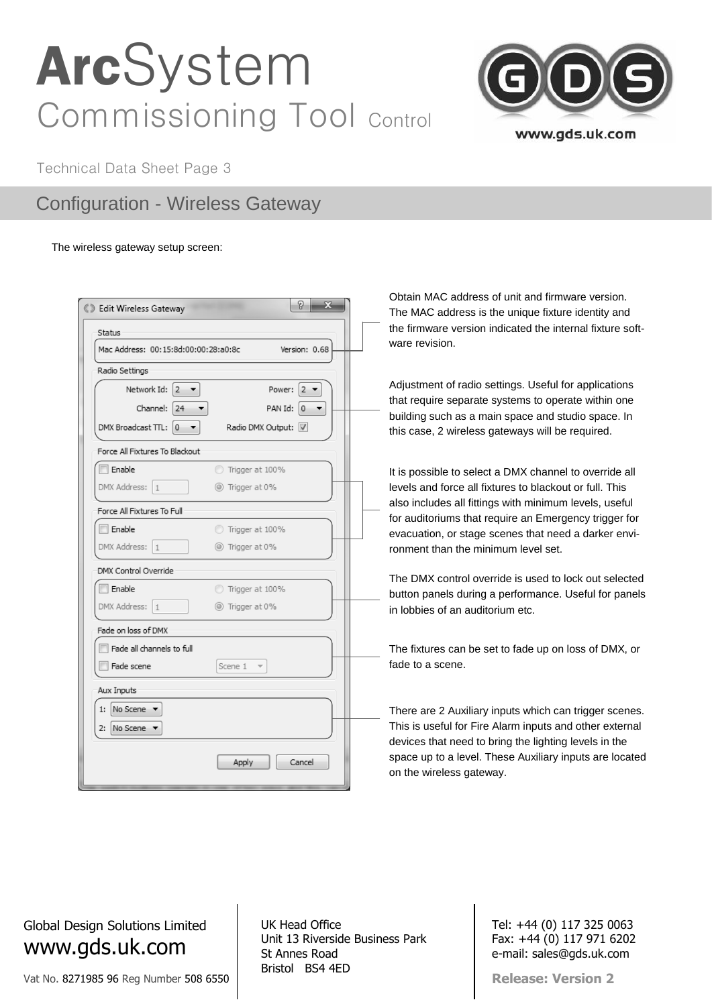

Technical Data Sheet Page 3

### Configuration - Wireless Gateway

#### The wireless gateway setup screen:

| Status                                    |                        |
|-------------------------------------------|------------------------|
| Mac Address: 00:15:8d:00:00:28:a0:8c      | Version: 0.68          |
| Radio Settings                            |                        |
| Network Id:<br>$2 - 7$                    | Power:<br>2            |
| Channel: 24                               | PAN Id:<br>$ 0\rangle$ |
| DMX Broadcast TTL:<br>$\overline{0}$<br>▼ | Radio DMX Output: V    |
| Force All Fixtures To Blackout            |                        |
| Enable                                    | Trigger at 100%        |
| DMX Address:<br>$\mathbf{1}$              | ◎ Trigger at 0%        |
| Force All Fixtures To Full                |                        |
| Enable                                    | Trigger at 100%        |
| DMX Address:<br>$\mathbf{1}$              | (@) Trigger at 0%      |
| DMX Control Override                      |                        |
| Enable                                    | Trigger at 100%        |
| DMX Address:<br>$\mathbf{1}$              | ◎ Trigger at 0%        |
| Fade on loss of DMX                       |                        |
| Fade all channels to full                 |                        |
| Fade scene                                | Scene 1                |
| Aux Inputs                                |                        |
| No Scene v<br>1:                          |                        |
| No Scene<br>2:                            |                        |
|                                           |                        |
|                                           | Apply<br>Cancel        |

Obtain MAC address of unit and firmware version. The MAC address is the unique fixture identity and the firmware version indicated the internal fixture software revision.

Adjustment of radio settings. Useful for applications that require separate systems to operate within one building such as a main space and studio space. In this case, 2 wireless gateways will be required.

It is possible to select a DMX channel to override all levels and force all fixtures to blackout or full. This also includes all fittings with minimum levels, useful for auditoriums that require an Emergency trigger for evacuation, or stage scenes that need a darker environment than the minimum level set.

The DMX control override is used to lock out selected button panels during a performance. Useful for panels in lobbies of an auditorium etc.

The fixtures can be set to fade up on loss of DMX, or fade to a scene.

There are 2 Auxiliary inputs which can trigger scenes. This is useful for Fire Alarm inputs and other external devices that need to bring the lighting levels in the space up to a level. These Auxiliary inputs are located on the wireless gateway.

Global Design Solutions Limited www.gds.uk.com

Vat No. 8271985 96 Reg Number 508 6550

UK Head Office Unit 13 Riverside Business Park St Annes Road Bristol BS4 4ED

Tel: +44 (0) 117 325 0063 Fax: +44 (0) 117 971 6202 e-mail: sales@gds.uk.com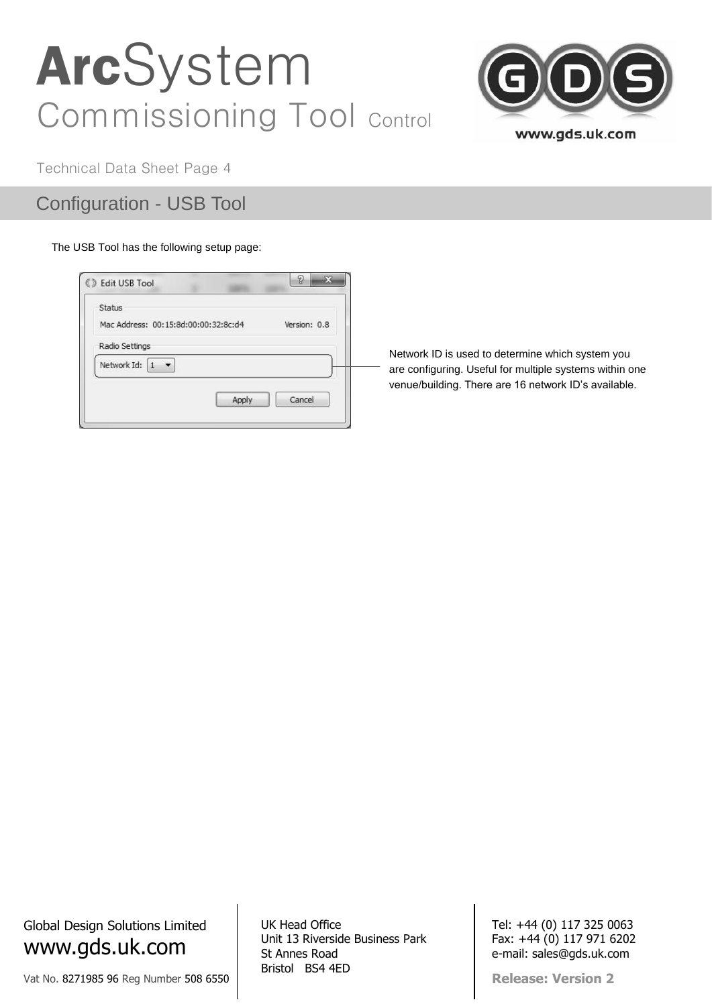

Technical Data Sheet Page 4

Configuration - USB Tool

#### The USB Tool has the following setup page:

| Status                               |              |
|--------------------------------------|--------------|
| Mac Address: 00:15:8d:00:00:32:8c:d4 | Version: 0.8 |
| Radio Settings                       |              |
| Network Id:                          |              |
|                                      |              |
| Apply                                | Cancel       |

Network ID is used to determine which system you are configuring. Useful for multiple systems within one venue/building. There are 16 network ID's available.

Global Design Solutions Limited www.gds.uk.com

Vat No. 8271985 96 Reg Number 508 6550

UK Head Office Unit 13 Riverside Business Park St Annes Road Bristol BS4 4ED

Tel: +44 (0) 117 325 0063 Fax: +44 (0) 117 971 6202 e-mail: sales@gds.uk.com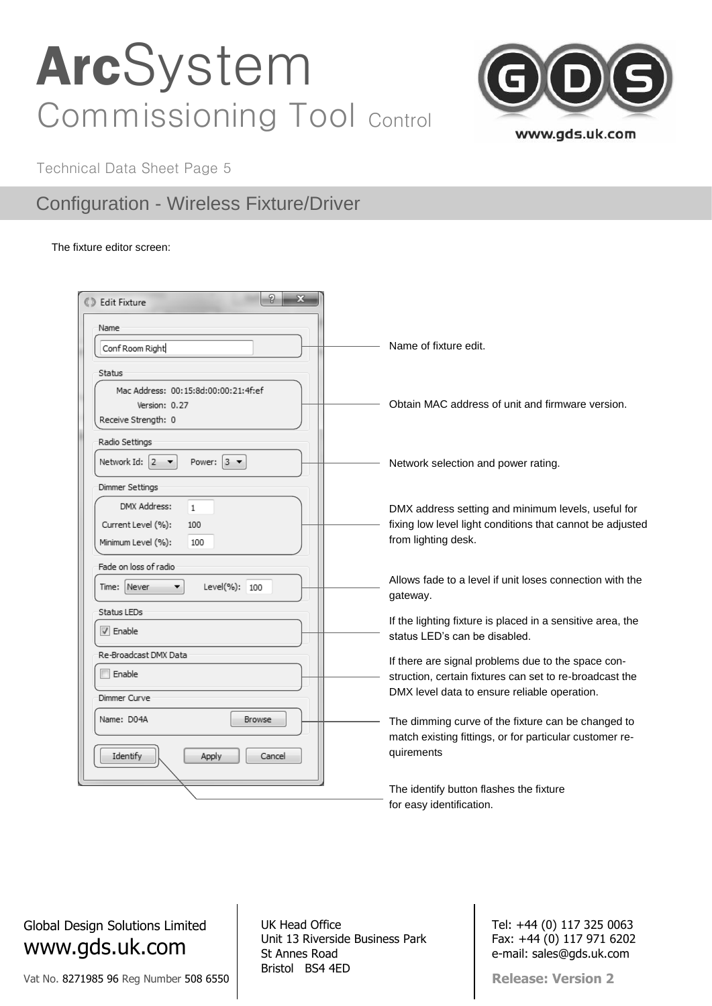

Technical Data Sheet Page 5

### Configuration - Wireless Fixture/Driver

The fixture editor screen:

| 8<br>$\mathbf{x}$<br><b><i>©</i></b> Edit Fixture     |                                                                                                               |
|-------------------------------------------------------|---------------------------------------------------------------------------------------------------------------|
| Name                                                  |                                                                                                               |
| Conf Room Right                                       | Name of fixture edit.                                                                                         |
| Status                                                |                                                                                                               |
| Mac Address: 00:15:8d:00:00:21:4f:ef<br>Version: 0.27 | Obtain MAC address of unit and firmware version.                                                              |
| Receive Strength: 0                                   |                                                                                                               |
| Radio Settings                                        |                                                                                                               |
| Network Id: $2 - 7$<br>Power: $3 \bullet$             | Network selection and power rating.                                                                           |
| Dimmer Settings                                       |                                                                                                               |
| DMX Address:<br>$\mathbf{1}$                          | DMX address setting and minimum levels, useful for                                                            |
| Current Level (%):<br>100                             | fixing low level light conditions that cannot be adjusted                                                     |
| Minimum Level (%):<br>100                             | from lighting desk.                                                                                           |
| Fade on loss of radio                                 |                                                                                                               |
| Time: Never<br>Level(%): 100<br>۰                     | Allows fade to a level if unit loses connection with the<br>gateway.                                          |
| Status LEDs                                           |                                                                                                               |
| $\triangledown$ Enable                                | If the lighting fixture is placed in a sensitive area, the<br>status LED's can be disabled.                   |
| Re-Broadcast DMX Data                                 |                                                                                                               |
| Enable                                                | If there are signal problems due to the space con-<br>struction, certain fixtures can set to re-broadcast the |
| Dimmer Curve                                          | DMX level data to ensure reliable operation.                                                                  |
| Name: D04A<br><b>Browse</b>                           | The dimming curve of the fixture can be changed to                                                            |
|                                                       | match existing fittings, or for particular customer re-                                                       |
| Identify<br>Apply<br>Cancel                           | quirements                                                                                                    |
|                                                       | The identify button flashes the fixture                                                                       |
|                                                       | for easy identification.                                                                                      |

Global Design Solutions Limited www.gds.uk.com

Vat No. 8271985 96 Reg Number 508 6550

UK Head Office Unit 13 Riverside Business Park St Annes Road Bristol BS4 4ED

Tel: +44 (0) 117 325 0063 Fax: +44 (0) 117 971 6202 e-mail: sales@gds.uk.com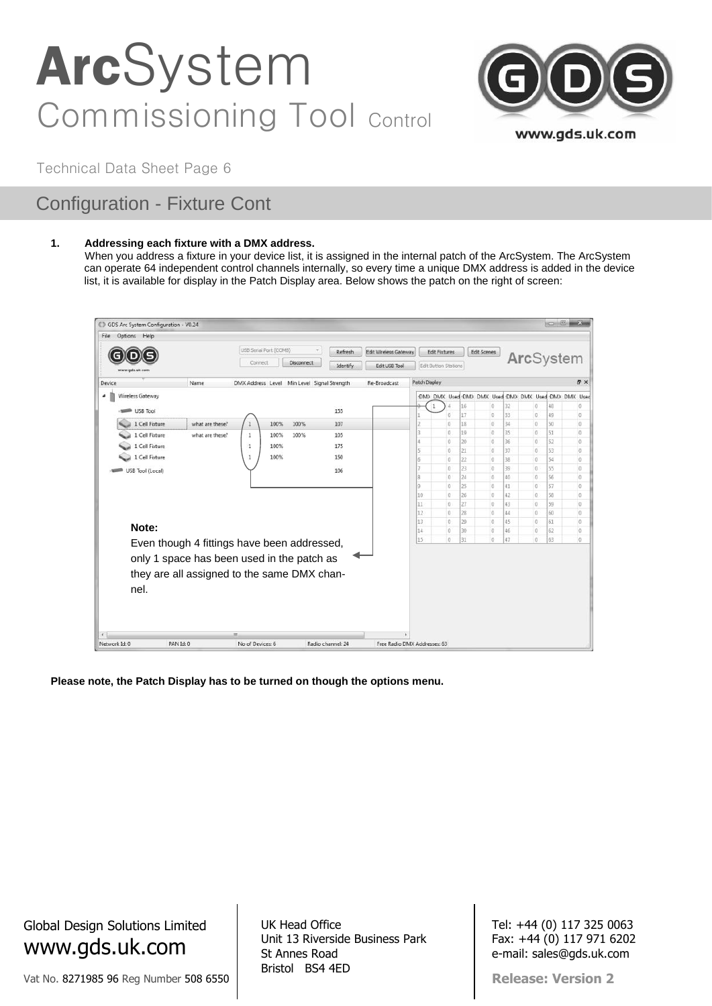

Technical Data Sheet Page 6

## Configuration - Fixture Cont

#### **1. Addressing each fixture with a DMX address.**

When you address a fixture in your device list, it is assigned in the internal patch of the ArcSystem. The ArcSystem can operate 64 independent control channels internally, so every time a unique DMX address is added in the device list, it is available for display in the Patch Display area. Below shows the patch on the right of screen:

| Options Help<br>File |                  |                                                                                                                                          |                        |      |            |                                             |                              |               |                                                     |          |                      |           |                       |          |                         |
|----------------------|------------------|------------------------------------------------------------------------------------------------------------------------------------------|------------------------|------|------------|---------------------------------------------|------------------------------|---------------|-----------------------------------------------------|----------|----------------------|-----------|-----------------------|----------|-------------------------|
|                      |                  |                                                                                                                                          | USB Serial Port (COM8) |      |            | Refresh                                     | <b>Edit Wireless Gateway</b> |               | <b>Edit Fixtures</b>                                |          | Edit Scenes          |           |                       |          |                         |
| www.gds.uk.com       |                  |                                                                                                                                          | Connect                |      | Disconnect | Identify                                    | Edit USB Tool                |               | Edit Button Stations                                |          |                      | ArcSystem |                       |          |                         |
| Device               |                  | Name                                                                                                                                     |                        |      |            | DMX Address Level Min Level Signal Strength | Re-Broadcast                 | Patch Display |                                                     |          |                      |           |                       |          | <b>A</b> X              |
| á                    | Wireless Gateway |                                                                                                                                          |                        |      |            |                                             |                              |               | DM) DMX Used DM) DMX Used DM> DMX Used DM> DMX Used |          |                      |           |                       |          |                         |
|                      | USB Tool         |                                                                                                                                          |                        |      |            | 155                                         |                              | $\mathbf{1}$  |                                                     | 16       | $\alpha$             | 32        | $\theta$              | 48       | 0                       |
|                      | 1 Cell Fixture   | what are these?                                                                                                                          | $\mathbf{1}$           | 100% | 100%       | 107                                         |                              |               | $\overline{0}$<br>o                                 | 17<br>18 | $\Omega$<br>$\alpha$ | 33<br>34  | IO.<br>$\overline{0}$ | 49<br>50 | Ü<br>0                  |
|                      |                  |                                                                                                                                          |                        |      |            |                                             |                              |               | D.                                                  | 19       | Ð                    | 35        | I0                    | 51       | 0                       |
|                      | 1 Cell Fixture   | what are these?                                                                                                                          | 1                      | 100% | 100%       | 105                                         |                              |               | $\circ$                                             | 20       | $\circ$              | 36        | IO.                   | 52       | 0                       |
|                      | 1 Cell Fixture   |                                                                                                                                          | 1                      | 100% |            | 175                                         |                              |               | o                                                   | 21       | $\theta$             | 37        | I O                   | 53       | Đ.                      |
|                      | 1 Cell Fixture   |                                                                                                                                          | 1                      | 100% |            | 150                                         |                              | Б             | o                                                   | 22       | o                    | 38        | io.                   | 54       | O                       |
|                      | USB Tool (Local) |                                                                                                                                          |                        |      |            | 106                                         |                              |               | $\theta$                                            | 23       | $\ddot{o}$           | 39        | 0                     | 55       | 0                       |
|                      |                  |                                                                                                                                          |                        |      |            |                                             |                              | я             | D                                                   | 24       | $\theta$             | 40        | 10                    | 56       | $\theta$                |
|                      |                  |                                                                                                                                          |                        |      |            |                                             |                              | Q             | o                                                   | 25       | $\theta$             | 41        | i o                   | 57       | ö                       |
|                      |                  |                                                                                                                                          |                        |      |            |                                             |                              | 10            | I0.                                                 | 26       | <b>O</b>             | 42        | 0                     | 58       | 0                       |
|                      |                  |                                                                                                                                          |                        |      |            |                                             |                              | 11<br>12      | o<br>o                                              | 27<br>28 | $\theta$             | 43<br>44  | i0                    | 59<br>60 | $\theta$                |
|                      |                  |                                                                                                                                          |                        |      |            |                                             |                              | 13            | io                                                  | 29       | $\circ$<br>o         | 45.       | 10<br>io.             | 61       | $\mathbf 0$<br>$\theta$ |
|                      | Note:            |                                                                                                                                          |                        |      |            |                                             |                              | 14            | o                                                   | 30       | O                    | 46        | $\sqrt{0}$            | 62       | ō                       |
|                      |                  |                                                                                                                                          |                        |      |            |                                             |                              | 15            | $\overline{0}$                                      | 31       | $\alpha$             | 47        | $\theta$              | 63       | $\theta$                |
|                      | nel.             | Even though 4 fittings have been addressed,<br>only 1 space has been used in the patch as<br>they are all assigned to the same DMX chan- |                        |      |            |                                             |                              |               |                                                     |          |                      |           |                       |          |                         |

**Please note, the Patch Display has to be turned on though the options menu.**

Global Design Solutions Limited www.gds.uk.com

Vat No. 8271985 96 Reg Number 508 6550

UK Head Office Unit 13 Riverside Business Park St Annes Road Bristol BS4 4ED

Tel: +44 (0) 117 325 0063 Fax: +44 (0) 117 971 6202 e-mail: sales@gds.uk.com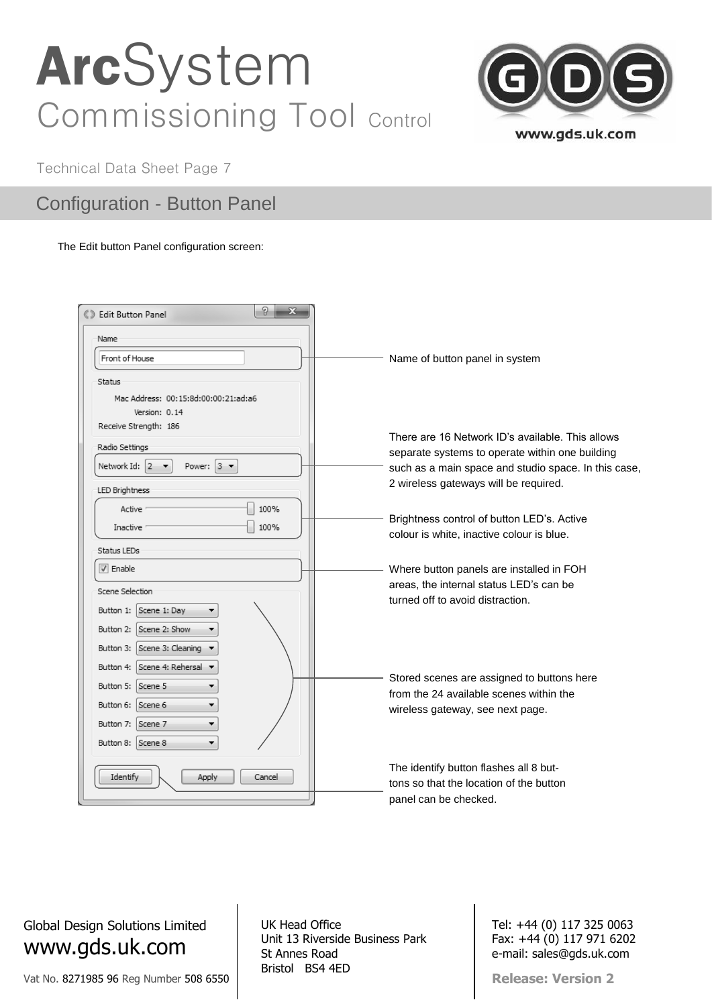

Technical Data Sheet Page 7

### Configuration - Button Panel

#### The Edit button Panel configuration screen:

| 8<br>$\mathbf{x}$<br><b>6.3 Edit Button Panel</b>           |                                                                                                     |
|-------------------------------------------------------------|-----------------------------------------------------------------------------------------------------|
| Name                                                        |                                                                                                     |
| Front of House                                              | Name of button panel in system                                                                      |
| Status                                                      |                                                                                                     |
| Mac Address: 00:15:8d:00:00:21:ad:a6                        |                                                                                                     |
| Version: 0.14                                               |                                                                                                     |
| Receive Strength: 186                                       |                                                                                                     |
| Radio Settings                                              | There are 16 Network ID's available. This allows<br>separate systems to operate within one building |
| Power: $3 \bullet$<br>Network Id: 2<br>$\blacktriangledown$ | such as a main space and studio space. In this case,                                                |
|                                                             | 2 wireless gateways will be required.                                                               |
| LED Brightness                                              |                                                                                                     |
| 100%<br>Active                                              |                                                                                                     |
| 100%<br>Inactive                                            | Brightness control of button LED's. Active                                                          |
|                                                             | colour is white, inactive colour is blue.                                                           |
| Status LEDs                                                 |                                                                                                     |
| $\triangledown$ Enable                                      | Where button panels are installed in FOH                                                            |
|                                                             | areas, the internal status LED's can be                                                             |
| Scene Selection                                             |                                                                                                     |
| Button 1:<br>Scene 1: Day                                   | turned off to avoid distraction.                                                                    |
| Scene 2: Show<br>Button 2:<br>▼                             |                                                                                                     |
| Button 3: Scene 3: Cleaning ▼                               |                                                                                                     |
| Button 4: Scene 4: Rehersal ▼                               |                                                                                                     |
| Button 5: Scene 5                                           | Stored scenes are assigned to buttons here<br>from the 24 available scenes within the               |
| Button 6: Scene 6<br>▼                                      | wireless gateway, see next page.                                                                    |
| Button 7: Scene 7<br>۰                                      |                                                                                                     |
| Button 8: Scene 8                                           |                                                                                                     |
|                                                             |                                                                                                     |
| Identify<br>Apply<br>Cancel                                 | The identify button flashes all 8 but-                                                              |
|                                                             | tons so that the location of the button                                                             |
|                                                             | panel can be checked.                                                                               |

Global Design Solutions Limited www.gds.uk.com

Vat No. 8271985 96 Reg Number 508 6550

UK Head Office Unit 13 Riverside Business Park St Annes Road Bristol BS4 4ED

Tel: +44 (0) 117 325 0063 Fax: +44 (0) 117 971 6202 e-mail: sales@gds.uk.com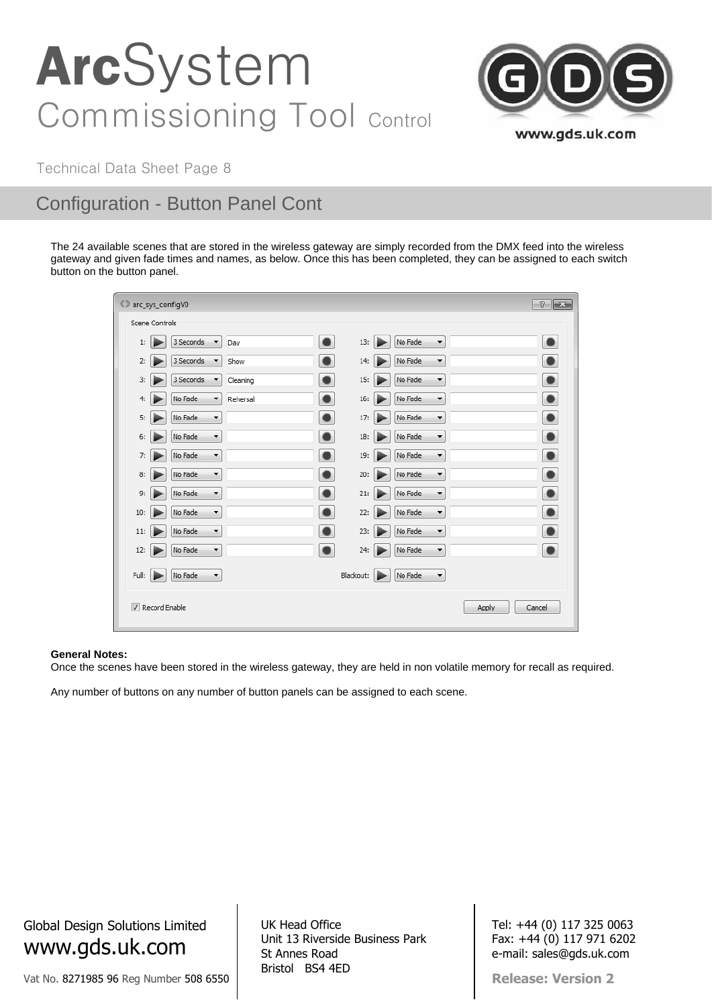

Technical Data Sheet Page 8

### Configuration - Button Panel Cont

The 24 available scenes that are stored in the wireless gateway are simply recorded from the DMX feed into the wireless gateway and given fade times and names, as below. Once this has been completed, they can be assigned to each switch button on the button panel.

| C arc_sys_configV0 |                                  |                                   |          |           |           |  |                                 |  | $\mathcal{D}$<br>$\mathbf{x}$ |
|--------------------|----------------------------------|-----------------------------------|----------|-----------|-----------|--|---------------------------------|--|-------------------------------|
|                    | Scene Controls                   |                                   |          |           |           |  |                                 |  |                               |
| 1:                 |                                  | 3 Seconds<br>▼                    | Day      | ٠         | 13:       |  | No Fade<br>▼                    |  | ٠                             |
| 2:                 |                                  | 3 Seconds<br>$\blacktriangledown$ | Show     |           | 14:       |  | No Fade<br>$\blacktriangledown$ |  | $\bullet$                     |
| 3:                 |                                  | 3 Seconds<br>$\blacktriangledown$ | Cleaning | ●         | 15:       |  | No Fade<br>▼                    |  | $\bullet$                     |
| 4:                 |                                  | No Fade<br>$\blacktriangledown$   | Rehersal |           | 16:       |  | No Fade<br>$\blacktriangledown$ |  | $\bullet$                     |
| 5:                 |                                  | No Fade<br>$\blacktriangledown$   |          | $\bullet$ | 17:       |  | No Fade<br>۰                    |  | $\bullet$                     |
| 6:                 |                                  | No Fade<br>$\blacktriangledown$   |          | $\bullet$ | 18:       |  | No Fade<br>Y                    |  | $\bullet$                     |
| 7:                 |                                  | No Fade<br>$\blacktriangledown$   |          | $\bullet$ | 19:       |  | No Fade<br>$\blacktriangledown$ |  | $\bullet$                     |
| 8:                 |                                  | No Fade<br>$\blacktriangledown$   |          | $\bullet$ | 20:       |  | No Fade<br>$\blacktriangledown$ |  | $\bullet$                     |
| 9:                 | ì                                | No Fade<br>$\blacktriangledown$   |          | $\bullet$ | 21:       |  | No Fade<br>▼                    |  | $\bullet$                     |
| 10:                |                                  | No Fade<br>$\blacktriangledown$   |          |           | 22:       |  | No Fade<br>$\blacktriangledown$ |  | $\bullet$                     |
| 11:                |                                  | No Fade<br>۰                      |          |           | 23:       |  | No Fade<br>۰                    |  | $\bullet$                     |
| 12:                | ı                                | No Fade<br>$\blacktriangledown$   |          | $\bullet$ | 24:       |  | No Fade<br>¥                    |  | $\bullet$                     |
| Full:              | Þ                                | No Fade<br>$\blacktriangledown$   |          |           | Blackout: |  | No Fade<br>▼                    |  |                               |
|                    | Record Enable<br>Apply<br>Cancel |                                   |          |           |           |  |                                 |  |                               |

#### **General Notes:**

Once the scenes have been stored in the wireless gateway, they are held in non volatile memory for recall as required.

Any number of buttons on any number of button panels can be assigned to each scene.

Global Design Solutions Limited www.gds.uk.com

Vat No. 8271985 96 Reg Number 508 6550

UK Head Office Unit 13 Riverside Business Park St Annes Road Bristol BS4 4ED

Tel: +44 (0) 117 325 0063 Fax: +44 (0) 117 971 6202 e-mail: sales@gds.uk.com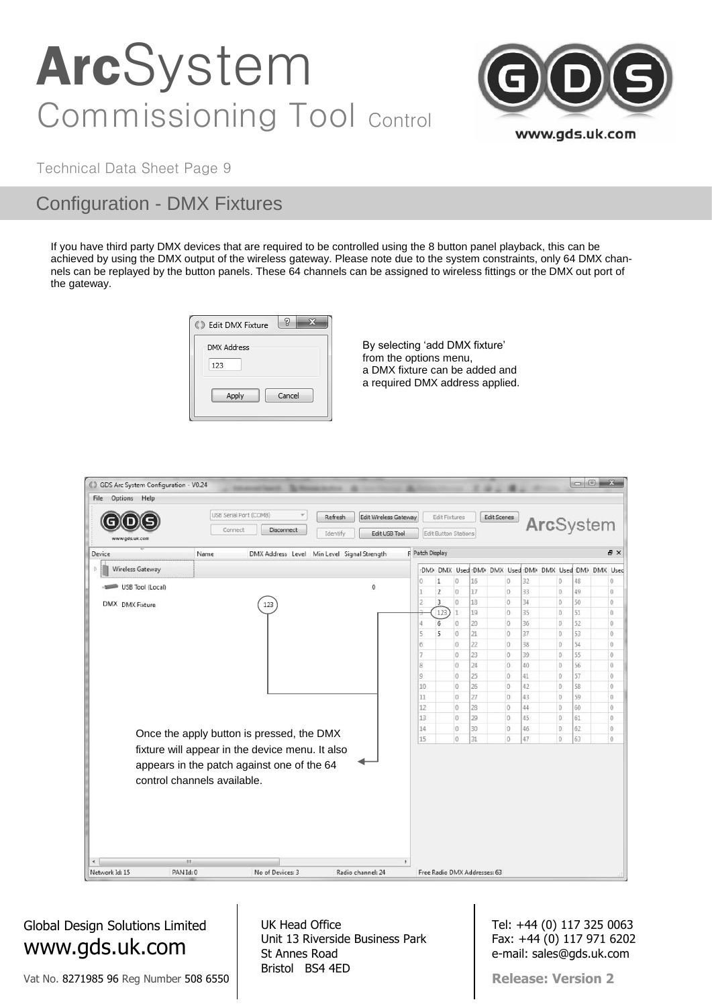

Technical Data Sheet Page 9

### Configuration - DMX Fixtures

If you have third party DMX devices that are required to be controlled using the 8 button panel playback, this can be achieved by using the DMX output of the wireless gateway. Please note due to the system constraints, only 64 DMX channels can be replayed by the button panels. These 64 channels can be assigned to wireless fittings or the DMX out port of the gateway.

| <b>8</b> Edit DMX Fixture | 5      |
|---------------------------|--------|
| <b>DMX Address</b><br>123 |        |
| Apply                     | Cancel |

By selecting 'add DMX fixture' from the options menu, a DMX fixture can be added and a required DMX address applied.

| C GDS Arc System Configuration - V0.24 |                                                                                                                              |                                             |          |                              |                    |                      |                                  |                                                     |          |                      |          | $\Box$ $\Box$               |
|----------------------------------------|------------------------------------------------------------------------------------------------------------------------------|---------------------------------------------|----------|------------------------------|--------------------|----------------------|----------------------------------|-----------------------------------------------------|----------|----------------------|----------|-----------------------------|
| Options Help<br>File                   |                                                                                                                              |                                             |          |                              |                    |                      |                                  |                                                     |          |                      |          |                             |
|                                        | USB Serial Port (COM8)                                                                                                       |                                             | Refresh  | <b>Edit Wireless Gateway</b> |                    | Edit Fixtures        |                                  | <b>Edit Scenes</b>                                  |          |                      |          |                             |
| www.gds.uk.com                         | Connect                                                                                                                      | <b>Disconnect</b>                           | Identify | Edit USB Tool                |                    | Edit Button Stations |                                  |                                                     |          | ArcSystem            |          |                             |
| Device                                 | Name                                                                                                                         | DMX Address Level Min Level Signal Strength |          |                              | R Patch Display    |                      |                                  |                                                     |          |                      |          | B X                         |
| b.<br>Wireless Gateway                 |                                                                                                                              |                                             |          |                              |                    |                      |                                  | DM> DMX Used DM> DMX Used DM> DMX Used DM> DMX Used |          |                      |          |                             |
| USB Tool (Local)                       |                                                                                                                              |                                             |          | $\theta$                     | O                  | 1                    | 16<br>$\theta$                   | $\circ$                                             | 32       | 0                    | 48       | $\theta$                    |
|                                        |                                                                                                                              |                                             |          |                              |                    | $\overline{2}$       | $\theta$<br>17                   | $\circ$                                             | 33       | 0                    | 49       | $\overline{0}$              |
| DMX DMX Fixture                        |                                                                                                                              | 123                                         |          |                              | 2                  | 3                    | $\theta$<br>18                   | $\mathbf 0$                                         | 34       | $\alpha$             | 50       | $\mathbf 0$                 |
|                                        |                                                                                                                              |                                             |          |                              |                    | 123                  | 19                               | $\circ$                                             | 35       | $\theta$             | 51       | $\theta$                    |
|                                        |                                                                                                                              |                                             |          |                              | 4                  | 6                    | 20<br>$\ddot{\phantom{0}}$       | $\circ$                                             | 36       | $\theta$             | 52       | $\hat{U}$                   |
|                                        |                                                                                                                              |                                             |          |                              | 5                  | 5                    | $\ddot{\phantom{0}}$<br>21       | $\circ$                                             | 37       | $\theta$             | 53       | $\mathbb O$                 |
|                                        |                                                                                                                              |                                             |          |                              | 6                  |                      | 22<br>$\ddot{0}$                 | $\circ$                                             | 38       | 0                    | 54       | $\ddot{\text{o}}$           |
|                                        |                                                                                                                              |                                             |          |                              | $\overline{7}$     |                      | 23<br>$\ddot{\phantom{0}}$       | $\theta$                                            | 39       | $\theta$             | 55       | $\mathbb O$                 |
|                                        |                                                                                                                              |                                             |          |                              | 8<br>$\mathcal{Q}$ |                      | $\theta$<br>24<br>$\theta$<br>25 | $\boldsymbol{0}$<br>0                               | 40       | $\theta$<br>$\theta$ | 56<br>57 | $\boldsymbol{0}$<br>$\circ$ |
|                                        |                                                                                                                              |                                             |          |                              | 10                 |                      | 0<br>26                          | $\circ$                                             | 41<br>42 | $\circ$              | 58       | $\mathbb O$                 |
|                                        |                                                                                                                              |                                             |          |                              | 11                 |                      | $\mathbf 0$<br>27                | $\Omega$                                            | 43       | $\theta$             | 59       | $\mathbb O$                 |
|                                        |                                                                                                                              |                                             |          |                              | 12                 |                      | $\,0$<br>28                      | $\circ$                                             | 44       | 0                    | 60       | $\mathbf 0$                 |
|                                        |                                                                                                                              |                                             |          |                              | 13                 |                      | $\theta$<br>29                   | $\theta$                                            | 45       | $\theta$             | 61       | $\,0\,$                     |
|                                        |                                                                                                                              |                                             |          |                              | 14                 |                      | $\theta$<br>30                   | $\circ$                                             | 46       | $\theta$             | 62       | $\theta$                    |
|                                        | Once the apply button is pressed, the DMX                                                                                    |                                             |          |                              | 15                 |                      | $\theta$<br>31                   | $\circ$                                             | 47       | $\theta$             | 63       | $\boldsymbol{0}$            |
|                                        | fixture will appear in the device menu. It also<br>appears in the patch against one of the 64<br>control channels available. |                                             |          |                              |                    |                      |                                  |                                                     |          |                      |          |                             |
| $\leftarrow$                           | $\overline{m}$                                                                                                               |                                             |          | ٠                            |                    |                      |                                  |                                                     |          |                      |          |                             |
| Network Id: 15                         | PAN Id: 0                                                                                                                    | No of Devices: 3                            |          | Radio channel: 24            |                    |                      | Free Radio DMX Addresses: 63     |                                                     |          |                      |          |                             |

### Global Design Solutions Limited www.gds.uk.com

Vat No. 8271985 96 Reg Number 508 6550

UK Head Office Unit 13 Riverside Business Park St Annes Road Bristol BS4 4ED

Tel: +44 (0) 117 325 0063 Fax: +44 (0) 117 971 6202 e-mail: sales@gds.uk.com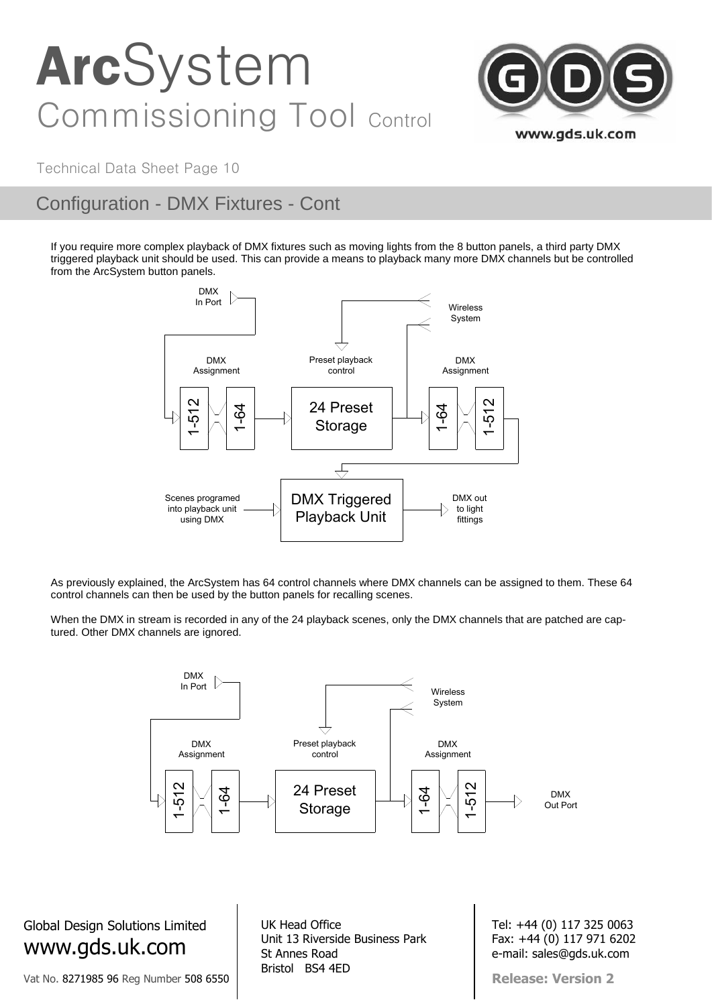

Technical Data Sheet Page 10

## Configuration - DMX Fixtures - Cont

If you require more complex playback of DMX fixtures such as moving lights from the 8 button panels, a third party DMX triggered playback unit should be used. This can provide a means to playback many more DMX channels but be controlled from the ArcSystem button panels.



As previously explained, the ArcSystem has 64 control channels where DMX channels can be assigned to them. These 64 control channels can then be used by the button panels for recalling scenes.

When the DMX in stream is recorded in any of the 24 playback scenes, only the DMX channels that are patched are captured. Other DMX channels are ignored.



Global Design Solutions Limited www.gds.uk.com

Vat No. 8271985 96 Reg Number 508 6550

UK Head Office Unit 13 Riverside Business Park St Annes Road Bristol BS4 4ED

Tel: +44 (0) 117 325 0063 Fax: +44 (0) 117 971 6202 e-mail: sales@gds.uk.com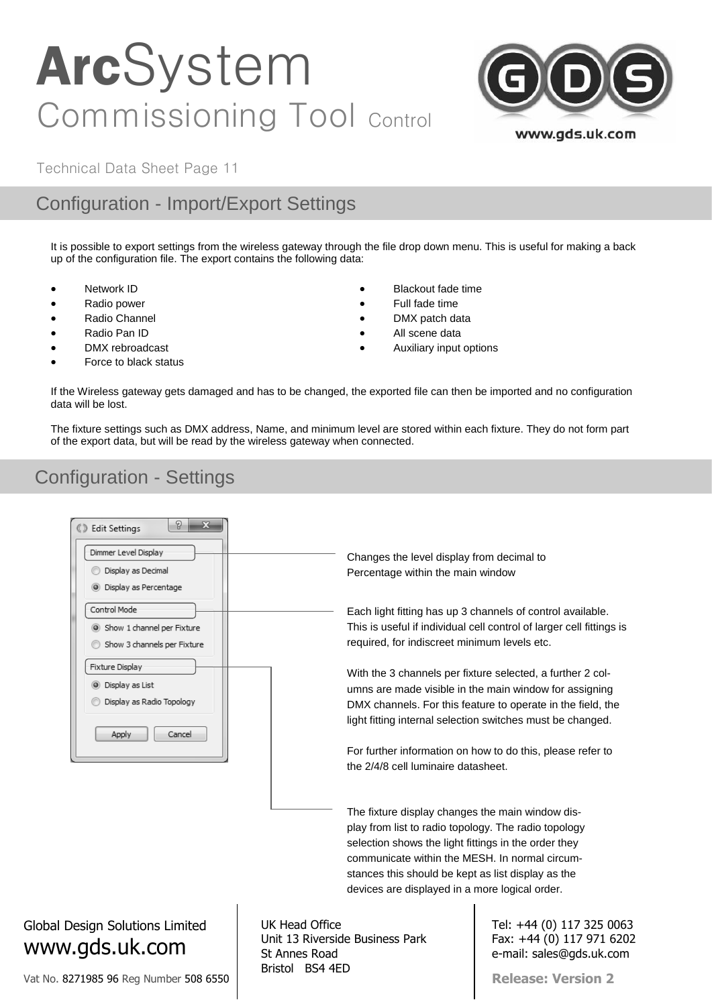

Technical Data Sheet Page 11

## Configuration - Import/Export Settings

It is possible to export settings from the wireless gateway through the file drop down menu. This is useful for making a back up of the configuration file. The export contains the following data:

- Network ID
- Radio power
- Radio Channel
- Radio Pan ID
- DMX rebroadcast
- Force to black status
- Blackout fade time
- Full fade time
- DMX patch data
- All scene data
- Auxiliary input options

If the Wireless gateway gets damaged and has to be changed, the exported file can then be imported and no configuration data will be lost.

The fixture settings such as DMX address, Name, and minimum level are stored within each fixture. They do not form part of the export data, but will be read by the wireless gateway when connected.

## Configuration - Settings



Vat No. 8271985 96 Reg Number 508 6550

St Annes Road Bristol BS4 4ED

e-mail: sales@gds.uk.com